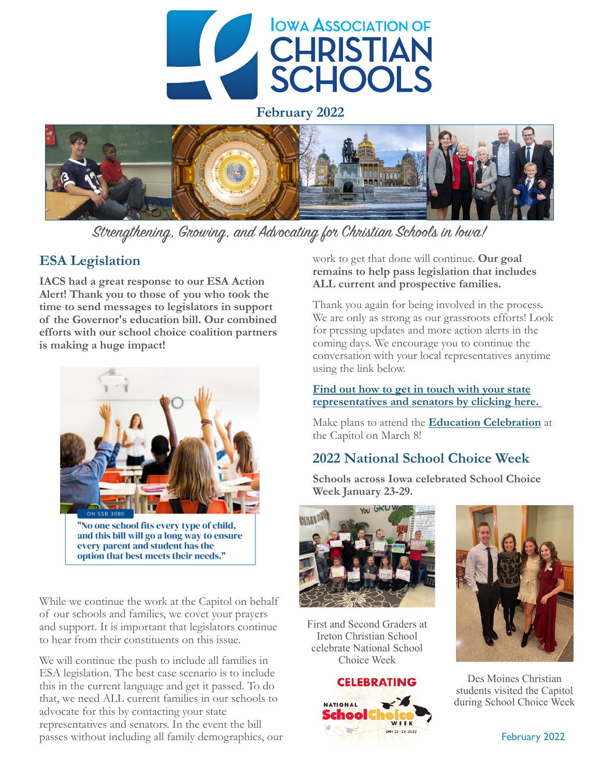

**February 2022**



Strengthening, Growing, and Advocating for Christian Schools in Iowa!

### **ESA Legislation**

**IACS had a great response to our ESA Action Alert! Thank you to those of you who took the time to send messages to legislators in support of the Governor's education bill. Our combined efforts with our school choice coalition partners is making a huge impact!** 



While we continue the work at the Capitol on behalf of our schools and families, we covet your prayers and support. It is important that legislators continue to hear from their constituents on this issue.

We will continue the push to include all families in ESA legislation. The best case scenario is to include this in the current language and get it passed. To do that, we need ALL current families in our schools to advocate for this by contacting your state representatives and senators. In the event the bill passes without including all family demographics, our work to get that done will continue. **Our goal remains to help pass legislation that includes ALL current and prospective families.** 

Thank you again for being involved in the process. We are only as strong as our grassroots efforts! Look for pressing updates and more action alerts in the coming days. We encourage you to continue the conversation with your local representatives anytime using the link below.

#### **[Find out how to get in touch with your state](https://www.iowachristianschools.org/find-your-legislators/)  [representatives and senators by clicking here.](https://www.iowachristianschools.org/find-your-legislators/)**

Make plans to attend the **[Education Celebration](https://www.iowaace.org/wp-content/uploads/2022/02/Education-Celebration-Flyer.pdf)** at the Capitol on March 8!

# **2022 National School Choice Week**

**Schools across Iowa celebrated School Choice Week January 23-29.** 



First and Second Graders at Ireton Christian School celebrate National School Choice Week

#### **CELEBRATING**





Des Moines Christian students visited the Capitol during School Choice Week